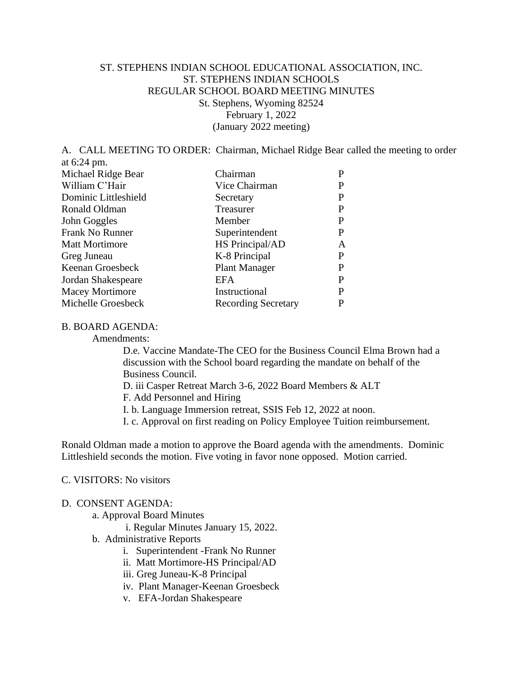## ST. STEPHENS INDIAN SCHOOL EDUCATIONAL ASSOCIATION, INC. ST. STEPHENS INDIAN SCHOOLS REGULAR SCHOOL BOARD MEETING MINUTES St. Stephens, Wyoming 82524 February 1, 2022 (January 2022 meeting)

A. CALL MEETING TO ORDER: Chairman, Michael Ridge Bear called the meeting to order at 6:24 pm.

| Michael Ridge Bear     | Chairman                   |   |
|------------------------|----------------------------|---|
| William C'Hair         | Vice Chairman              |   |
| Dominic Littleshield   | Secretary                  | P |
| Ronald Oldman          | Treasurer                  |   |
| John Goggles           | Member                     | P |
| Frank No Runner        | Superintendent             |   |
| <b>Matt Mortimore</b>  | HS Principal/AD            | A |
| Greg Juneau            | K-8 Principal              | P |
| Keenan Groesbeck       | <b>Plant Manager</b>       | P |
| Jordan Shakespeare     | EFA                        | P |
| <b>Macey Mortimore</b> | Instructional              |   |
| Michelle Groesbeck     | <b>Recording Secretary</b> |   |

#### B. BOARD AGENDA:

Amendments:

D.e. Vaccine Mandate-The CEO for the Business Council Elma Brown had a discussion with the School board regarding the mandate on behalf of the Business Council.

D. iii Casper Retreat March 3-6, 2022 Board Members & ALT

F. Add Personnel and Hiring

I. b. Language Immersion retreat, SSIS Feb 12, 2022 at noon.

I. c. Approval on first reading on Policy Employee Tuition reimbursement.

Ronald Oldman made a motion to approve the Board agenda with the amendments. Dominic Littleshield seconds the motion. Five voting in favor none opposed. Motion carried.

## C. VISITORS: No visitors

#### D. CONSENT AGENDA:

a. Approval Board Minutes

i. Regular Minutes January 15, 2022.

- b. Administrative Reports
	- i. Superintendent -Frank No Runner
	- ii. Matt Mortimore-HS Principal/AD
	- iii. Greg Juneau-K-8 Principal
	- iv. Plant Manager-Keenan Groesbeck
	- v. EFA-Jordan Shakespeare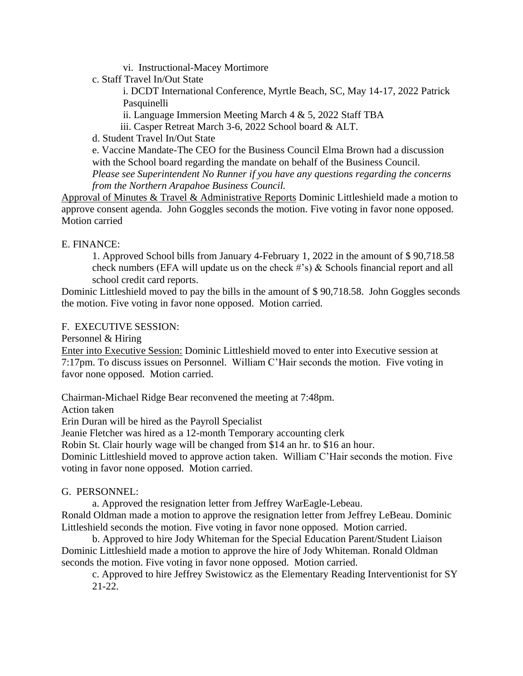vi. Instructional-Macey Mortimore

c. Staff Travel In/Out State

i. DCDT International Conference, Myrtle Beach, SC, May 14-17, 2022 Patrick Pasquinelli

ii. Language Immersion Meeting March 4 & 5, 2022 Staff TBA

iii. Casper Retreat March 3-6, 2022 School board & ALT.

d. Student Travel In/Out State

e. Vaccine Mandate-The CEO for the Business Council Elma Brown had a discussion with the School board regarding the mandate on behalf of the Business Council.

*Please see Superintendent No Runner if you have any questions regarding the concerns from the Northern Arapahoe Business Council.* 

Approval of Minutes & Travel & Administrative Reports Dominic Littleshield made a motion to approve consent agenda. John Goggles seconds the motion. Five voting in favor none opposed. Motion carried

## E. FINANCE:

1. Approved School bills from January 4-February 1, 2022 in the amount of \$ 90,718.58 check numbers (EFA will update us on the check #'s) & Schools financial report and all school credit card reports.

Dominic Littleshield moved to pay the bills in the amount of \$ 90,718.58. John Goggles seconds the motion. Five voting in favor none opposed. Motion carried.

## F. EXECUTIVE SESSION:

Personnel & Hiring

Enter into Executive Session: Dominic Littleshield moved to enter into Executive session at 7:17pm. To discuss issues on Personnel. William C'Hair seconds the motion. Five voting in favor none opposed. Motion carried.

Chairman-Michael Ridge Bear reconvened the meeting at 7:48pm.

Action taken

Erin Duran will be hired as the Payroll Specialist

Jeanie Fletcher was hired as a 12-month Temporary accounting clerk

Robin St. Clair hourly wage will be changed from \$14 an hr. to \$16 an hour.

Dominic Littleshield moved to approve action taken. William C'Hair seconds the motion. Five voting in favor none opposed. Motion carried.

#### G. PERSONNEL:

a. Approved the resignation letter from Jeffrey WarEagle-Lebeau.

Ronald Oldman made a motion to approve the resignation letter from Jeffrey LeBeau. Dominic Littleshield seconds the motion. Five voting in favor none opposed. Motion carried.

b. Approved to hire Jody Whiteman for the Special Education Parent/Student Liaison Dominic Littleshield made a motion to approve the hire of Jody Whiteman. Ronald Oldman seconds the motion. Five voting in favor none opposed. Motion carried.

c. Approved to hire Jeffrey Swistowicz as the Elementary Reading Interventionist for SY 21-22.